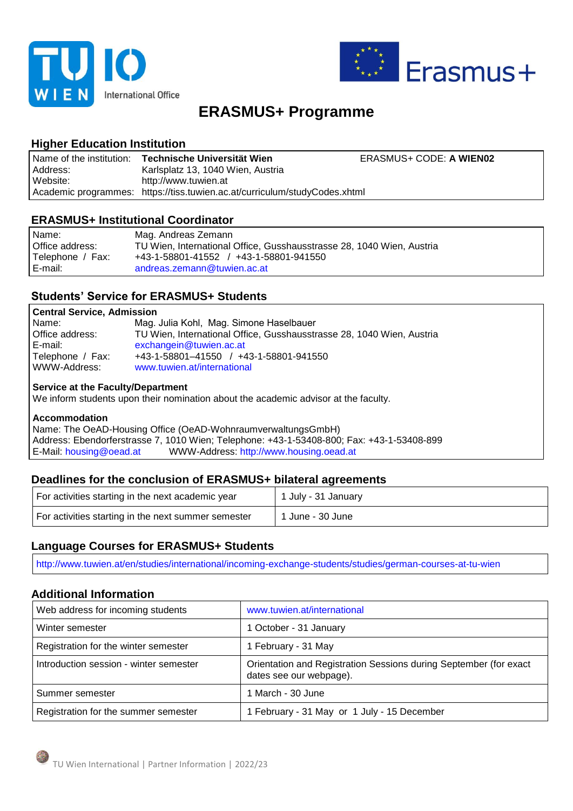



# **ERASMUS+ Programme**

# **Higher Education Institution**

|          | Name of the institution: Technische Universität Wien                       | ERASMUS+ CODE: A WIEN02 |
|----------|----------------------------------------------------------------------------|-------------------------|
| Address: | Karlsplatz 13, 1040 Wien, Austria                                          |                         |
| Website: | http://www.tuwien.at                                                       |                         |
|          | Academic programmes: https://tiss.tuwien.ac.at/curriculum/studyCodes.xhtml |                         |

## **ERASMUS+ Institutional Coordinator**

| Name:<br>Office address: | Mag. Andreas Zemann<br>TU Wien, International Office, Gusshausstrasse 28, 1040 Wien, Austria |
|--------------------------|----------------------------------------------------------------------------------------------|
| Telephone / Fax:         | +43-1-58801-41552 / +43-1-58801-941550                                                       |
| E-mail:                  | andreas.zemann@tuwien.ac.at                                                                  |

# **Students' Service for ERASMUS+ Students**

#### **Central Service, Admission**

| Name:            | Mag. Julia Kohl, Mag. Simone Haselbauer                               |
|------------------|-----------------------------------------------------------------------|
| Office address:  | TU Wien, International Office, Gusshausstrasse 28, 1040 Wien, Austria |
| E-mail:          | exchangein@tuwien.ac.at                                               |
| Telephone / Fax: | +43-1-58801-41550 / +43-1-58801-941550                                |
| WWW-Address:     | www.tuwien.at/international                                           |

#### **Service at the Faculty/Department**

We inform students upon their nomination about the academic advisor at the faculty.

#### **Accommodation**

Name: The OeAD-Housing Office (OeAD-WohnraumverwaltungsGmbH) Address: Ebendorferstrasse 7, 1010 Wien; Telephone: +43-1-53408-800; Fax: +43-1-53408-899<br>E-Mail: housing@oead.at WWW-Address: http://www.housing.oead.at WWW-Address: http://www.housing.oead.at

# **Deadlines for the conclusion of ERASMUS+ bilateral agreements**

| For activities starting in the next academic year   | 1 July - 31 January |
|-----------------------------------------------------|---------------------|
| For activities starting in the next summer semester | 1 June - 30 June    |

# **Language Courses for ERASMUS+ Students**

http://www.tuwien.at/en/studies/international/incoming-exchange-students/studies/german-courses-at-tu-wien

### **Additional Information**

| Web address for incoming students      | www.tuwien.at/international                                                                  |
|----------------------------------------|----------------------------------------------------------------------------------------------|
| Winter semester                        | 1 October - 31 January                                                                       |
| Registration for the winter semester   | 1 February - 31 May                                                                          |
| Introduction session - winter semester | Orientation and Registration Sessions during September (for exact<br>dates see our webpage). |
| Summer semester                        | 1 March - 30 June                                                                            |
| Registration for the summer semester   | 1 February - 31 May or 1 July - 15 December                                                  |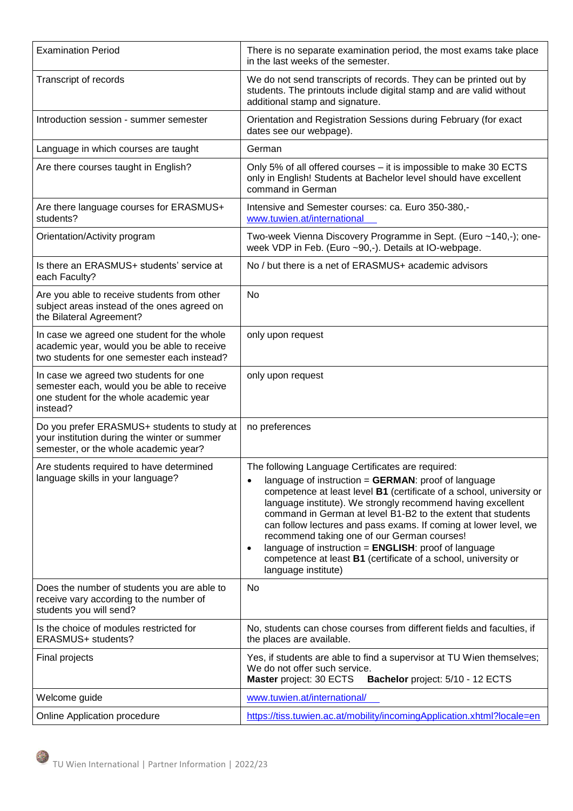| <b>Examination Period</b>                                                                                                                    | There is no separate examination period, the most exams take place<br>in the last weeks of the semester.                                                                                                                                                                                                                                                                                                                                                                                                                                                                                                         |
|----------------------------------------------------------------------------------------------------------------------------------------------|------------------------------------------------------------------------------------------------------------------------------------------------------------------------------------------------------------------------------------------------------------------------------------------------------------------------------------------------------------------------------------------------------------------------------------------------------------------------------------------------------------------------------------------------------------------------------------------------------------------|
| Transcript of records                                                                                                                        | We do not send transcripts of records. They can be printed out by<br>students. The printouts include digital stamp and are valid without<br>additional stamp and signature.                                                                                                                                                                                                                                                                                                                                                                                                                                      |
| Introduction session - summer semester                                                                                                       | Orientation and Registration Sessions during February (for exact<br>dates see our webpage).                                                                                                                                                                                                                                                                                                                                                                                                                                                                                                                      |
| Language in which courses are taught                                                                                                         | German                                                                                                                                                                                                                                                                                                                                                                                                                                                                                                                                                                                                           |
| Are there courses taught in English?                                                                                                         | Only 5% of all offered courses - it is impossible to make 30 ECTS<br>only in English! Students at Bachelor level should have excellent<br>command in German                                                                                                                                                                                                                                                                                                                                                                                                                                                      |
| Are there language courses for ERASMUS+<br>students?                                                                                         | Intensive and Semester courses: ca. Euro 350-380,-<br>www.tuwien.at/international                                                                                                                                                                                                                                                                                                                                                                                                                                                                                                                                |
| Orientation/Activity program                                                                                                                 | Two-week Vienna Discovery Programme in Sept. (Euro ~140,-); one-<br>week VDP in Feb. (Euro ~90,-). Details at IO-webpage.                                                                                                                                                                                                                                                                                                                                                                                                                                                                                        |
| Is there an ERASMUS+ students' service at<br>each Faculty?                                                                                   | No / but there is a net of ERASMUS+ academic advisors                                                                                                                                                                                                                                                                                                                                                                                                                                                                                                                                                            |
| Are you able to receive students from other<br>subject areas instead of the ones agreed on<br>the Bilateral Agreement?                       | <b>No</b>                                                                                                                                                                                                                                                                                                                                                                                                                                                                                                                                                                                                        |
| In case we agreed one student for the whole<br>academic year, would you be able to receive<br>two students for one semester each instead?    | only upon request                                                                                                                                                                                                                                                                                                                                                                                                                                                                                                                                                                                                |
| In case we agreed two students for one<br>semester each, would you be able to receive<br>one student for the whole academic year<br>instead? | only upon request                                                                                                                                                                                                                                                                                                                                                                                                                                                                                                                                                                                                |
| Do you prefer ERASMUS+ students to study at<br>your institution during the winter or summer<br>semester, or the whole academic year?         | no preferences                                                                                                                                                                                                                                                                                                                                                                                                                                                                                                                                                                                                   |
| Are students required to have determined<br>language skills in your language?                                                                | The following Language Certificates are required:<br>language of instruction = $GERMAN$ : proof of language<br>$\bullet$<br>competence at least level B1 (certificate of a school, university or<br>language institute). We strongly recommend having excellent<br>command in German at level B1-B2 to the extent that students<br>can follow lectures and pass exams. If coming at lower level, we<br>recommend taking one of our German courses!<br>language of instruction = ENGLISH: proof of language<br>$\bullet$<br>competence at least B1 (certificate of a school, university or<br>language institute) |
| Does the number of students you are able to<br>receive vary according to the number of<br>students you will send?                            | No                                                                                                                                                                                                                                                                                                                                                                                                                                                                                                                                                                                                               |
| Is the choice of modules restricted for<br>ERASMUS+ students?                                                                                | No, students can chose courses from different fields and faculties, if<br>the places are available.                                                                                                                                                                                                                                                                                                                                                                                                                                                                                                              |
| Final projects                                                                                                                               | Yes, if students are able to find a supervisor at TU Wien themselves;<br>We do not offer such service.<br>Master project: 30 ECTS<br>Bachelor project: 5/10 - 12 ECTS                                                                                                                                                                                                                                                                                                                                                                                                                                            |
| Welcome guide                                                                                                                                | www.tuwien.at/international/                                                                                                                                                                                                                                                                                                                                                                                                                                                                                                                                                                                     |
| Online Application procedure                                                                                                                 | https://tiss.tuwien.ac.at/mobility/incomingApplication.xhtml?locale=en                                                                                                                                                                                                                                                                                                                                                                                                                                                                                                                                           |